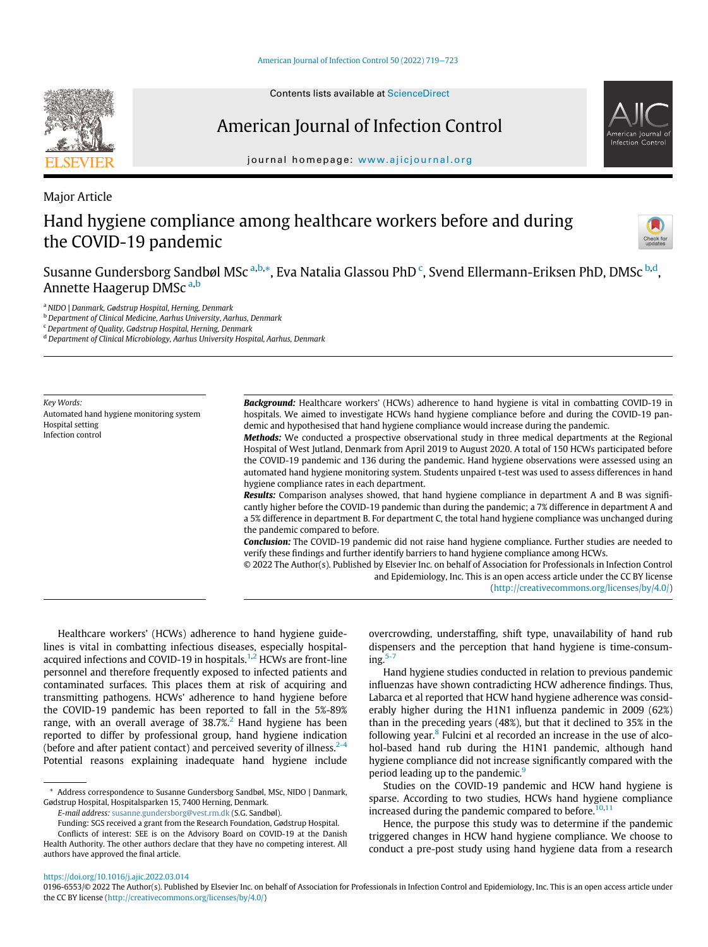

# American Journal of Infection Control

journal homepage: [www.ajicjournal.org](http://www.ajicjournal.org)

Major Article

# Hand hygiene compliance among healthcare workers before and during the COVID-19 pandemic



Susanne Gundersborg Sandbøl MSc <sup>[a,](#page-0-0)[b](#page-0-1),</sup>[\\*](#page-0-2), Eva Natalia Glassou PhD <sup>[c](#page-0-3)</sup>, Svend Ellermann-Eriksen PhD, DMSc <sup>b[,d](#page-0-4)</sup>, Annette H[a](#page-0-0)agerup DMSc<sup>a[,b](#page-0-1)</sup>

<span id="page-0-0"></span><sup>a</sup> NIDO | Danmark, Gødstrup Hospital, Herning, Denmark

<span id="page-0-1"></span><sup>b</sup> Department of Clinical Medicine, Aarhus University, Aarhus, Denmark

<span id="page-0-3"></span><sup>c</sup> Department of Quality, Gødstrup Hospital, Herning, Denmark

<span id="page-0-4"></span><sup>d</sup> Department of Clinical Microbiology, Aarhus University Hospital, Aarhus, Denmark

Key Words: Automated hand hygiene monitoring system Hospital setting Infection control

**Background:** Healthcare workers' (HCWs) adherence to hand hygiene is vital in combatting COVID-19 in hospitals. We aimed to investigate HCWs hand hygiene compliance before and during the COVID-19 pandemic and hypothesised that hand hygiene compliance would increase during the pandemic.

Methods: We conducted a prospective observational study in three medical departments at the Regional Hospital of West Jutland, Denmark from April 2019 to August 2020. A total of 150 HCWs participated before the COVID-19 pandemic and 136 during the pandemic. Hand hygiene observations were assessed using an automated hand hygiene monitoring system. Students unpaired t-test was used to assess differences in hand hygiene compliance rates in each department.

Results: Comparison analyses showed, that hand hygiene compliance in department A and B was significantly higher before the COVID-19 pandemic than during the pandemic; a 7% difference in department A and a 5% difference in department B. For department C, the total hand hygiene compliance was unchanged during the pandemic compared to before.

**Conclusion:** The COVID-19 pandemic did not raise hand hygiene compliance. Further studies are needed to verify these findings and further identify barriers to hand hygiene compliance among HCWs.

© 2022 The Author(s). Published by Elsevier Inc. on behalf of Association for Professionals in Infection Control and Epidemiology, Inc. This is an open access article under the CC BY license [\(http://creativecommons.org/licenses/by/4.0/](http://creativecommons.org/licenses/by/4.0/))

Healthcare workers' (HCWs) adherence to hand hygiene guidelines is vital in combatting infectious diseases, especially hospital-acquired infections and COVID-[1](#page-4-0)9 in hospitals.<sup>1,[2](#page-4-1)</sup> HCWs are front-line personnel and therefore frequently exposed to infected patients and contaminated surfaces. This places them at risk of acquiring and transmitting pathogens. HCWs' adherence to hand hygiene before the COVID-19 pandemic has been reported to fall in the 5%-89% range, with an overall average of  $38.7\%$ <sup>[2](#page-4-1)</sup> Hand hygiene has been reported to differ by professional group, hand hygiene indication (before and after patient contact) and perceived severity of illness. $2-4$ Potential reasons explaining inadequate hand hygiene include

<span id="page-0-2"></span>\* Address correspondence to Susanne Gundersborg Sandbøl, MSc, NIDO | Danmark, Gødstrup Hospital, Hospitalsparken 15, 7400 Herning, Denmark.

E-mail address: [susanne.gundersborg@vest.rm.dk](mailto:susanne.gundersborg@vest.rm.dk) (S.G. Sandbøl).

overcrowding, understaffing, shift type, unavailability of hand rub dispensers and the perception that hand hygiene is time-consum- $ing.<sup>5-7</sup>$  $ing.<sup>5-7</sup>$  $ing.<sup>5-7</sup>$ 

Hand hygiene studies conducted in relation to previous pandemic influenzas have shown contradicting HCW adherence findings. Thus, Labarca et al reported that HCW hand hygiene adherence was considerably higher during the H1N1 influenza pandemic in 2009 (62%) than in the preceding years (48%), but that it declined to 35% in the following year. $8$  Fulcini et al recorded an increase in the use of alcohol-based hand rub during the H1N1 pandemic, although hand hygiene compliance did not increase significantly compared with the period leading up to the pandemic.<sup>9</sup>

Studies on the COVID-19 pandemic and HCW hand hygiene is sparse. According to two studies, HCWs hand hygiene compliance increased during the pandemic compared to before. $10,11$  $10,11$ 

Hence, the purpose this study was to determine if the pandemic triggered changes in HCW hand hygiene compliance. We choose to conduct a pre-post study using hand hygiene data from a research

<https://doi.org/10.1016/j.ajic.2022.03.014>

Funding: SGS received a grant from the Research Foundation, Gødstrup Hospital. Conflicts of interest: SEE is on the Advisory Board on COVID-19 at the Danish Health Authority. The other authors declare that they have no competing interest. All authors have approved the final article.

<sup>0196-6553/© 2022</sup> The Author(s). Published by Elsevier Inc. on behalf of Association for Professionals in Infection Control and Epidemiology, Inc. This is an open access article under the CC BY license [\(http://creativecommons.org/licenses/by/4.0/](http://creativecommons.org/licenses/by/4.0/))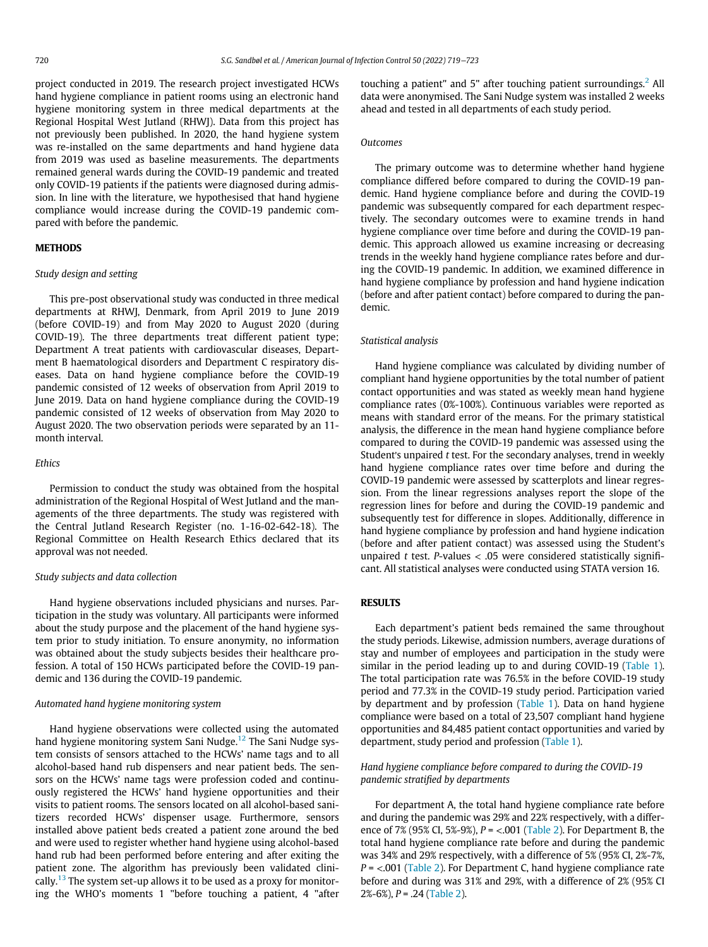project conducted in 2019. The research project investigated HCWs hand hygiene compliance in patient rooms using an electronic hand hygiene monitoring system in three medical departments at the Regional Hospital West Jutland (RHWJ). Data from this project has not previously been published. In 2020, the hand hygiene system was re-installed on the same departments and hand hygiene data from 2019 was used as baseline measurements. The departments remained general wards during the COVID-19 pandemic and treated only COVID-19 patients if the patients were diagnosed during admission. In line with the literature, we hypothesised that hand hygiene compliance would increase during the COVID-19 pandemic compared with before the pandemic.

# METHODS

# Study design and setting

This pre-post observational study was conducted in three medical departments at RHWJ, Denmark, from April 2019 to June 2019 (before COVID-19) and from May 2020 to August 2020 (during COVID-19). The three departments treat different patient type; Department A treat patients with cardiovascular diseases, Department B haematological disorders and Department C respiratory diseases. Data on hand hygiene compliance before the COVID-19 pandemic consisted of 12 weeks of observation from April 2019 to June 2019. Data on hand hygiene compliance during the COVID-19 pandemic consisted of 12 weeks of observation from May 2020 to August 2020. The two observation periods were separated by an 11 month interval.

# Ethics

Permission to conduct the study was obtained from the hospital administration of the Regional Hospital of West Jutland and the managements of the three departments. The study was registered with the Central Jutland Research Register (no. 1-16-02-642-18). The Regional Committee on Health Research Ethics declared that its approval was not needed.

## Study subjects and data collection

Hand hygiene observations included physicians and nurses. Participation in the study was voluntary. All participants were informed about the study purpose and the placement of the hand hygiene system prior to study initiation. To ensure anonymity, no information was obtained about the study subjects besides their healthcare profession. A total of 150 HCWs participated before the COVID-19 pandemic and 136 during the COVID-19 pandemic.

## Automated hand hygiene monitoring system

Hand hygiene observations were collected using the automated hand hygiene monitoring system Sani Nudge.<sup>[12](#page-4-7)</sup> The Sani Nudge system consists of sensors attached to the HCWs' name tags and to all alcohol-based hand rub dispensers and near patient beds. The sensors on the HCWs' name tags were profession coded and continuously registered the HCWs' hand hygiene opportunities and their visits to patient rooms. The sensors located on all alcohol-based sanitizers recorded HCWs' dispenser usage. Furthermore, sensors installed above patient beds created a patient zone around the bed and were used to register whether hand hygiene using alcohol-based hand rub had been performed before entering and after exiting the patient zone. The algorithm has previously been validated clini-cally.<sup>[13](#page-4-8)</sup> The system set-up allows it to be used as a proxy for monitoring the WHO's moments 1 "before touching a patient, 4 "after touching a patient" and 5" after touching patient surroundings. $<sup>2</sup>$  $<sup>2</sup>$  $<sup>2</sup>$  All</sup> data were anonymised. The Sani Nudge system was installed 2 weeks ahead and tested in all departments of each study period.

## Outcomes

The primary outcome was to determine whether hand hygiene compliance differed before compared to during the COVID-19 pandemic. Hand hygiene compliance before and during the COVID-19 pandemic was subsequently compared for each department respectively. The secondary outcomes were to examine trends in hand hygiene compliance over time before and during the COVID-19 pandemic. This approach allowed us examine increasing or decreasing trends in the weekly hand hygiene compliance rates before and during the COVID-19 pandemic. In addition, we examined difference in hand hygiene compliance by profession and hand hygiene indication (before and after patient contact) before compared to during the pandemic.

## Statistical analysis

Hand hygiene compliance was calculated by dividing number of compliant hand hygiene opportunities by the total number of patient contact opportunities and was stated as weekly mean hand hygiene compliance rates (0%-100%). Continuous variables were reported as means with standard error of the means. For the primary statistical analysis, the difference in the mean hand hygiene compliance before compared to during the COVID-19 pandemic was assessed using the Student's unpaired  $t$  test. For the secondary analyses, trend in weekly hand hygiene compliance rates over time before and during the COVID-19 pandemic were assessed by scatterplots and linear regression. From the linear regressions analyses report the slope of the regression lines for before and during the COVID-19 pandemic and subsequently test for difference in slopes. Additionally, difference in hand hygiene compliance by profession and hand hygiene indication (before and after patient contact) was assessed using the Student's unpaired t test. P-values  $< .05$  were considered statistically significant. All statistical analyses were conducted using STATA version 16.

# **RESULTS**

Each department's patient beds remained the same throughout the study periods. Likewise, admission numbers, average durations of stay and number of employees and participation in the study were similar in the period leading up to and during COVID-19 [\(Table 1](#page-2-0)). The total participation rate was 76.5% in the before COVID-19 study period and 77.3% in the COVID-19 study period. Participation varied by department and by profession [\(Table 1\)](#page-2-0). Data on hand hygiene compliance were based on a total of 23,507 compliant hand hygiene opportunities and 84,485 patient contact opportunities and varied by department, study period and profession ([Table 1\)](#page-2-0).

Hand hygiene compliance before compared to during the COVID-19 pandemic stratified by departments

For department A, the total hand hygiene compliance rate before and during the pandemic was 29% and 22% respectively, with a difference of 7% (95% CI, 5%-9%),  $P = < .001$  ([Table 2\)](#page-3-0). For Department B, the total hand hygiene compliance rate before and during the pandemic was 34% and 29% respectively, with a difference of 5% (95% CI, 2%-7%,  $P =$  <.001 [\(Table 2](#page-3-0)). For Department C, hand hygiene compliance rate before and during was 31% and 29%, with a difference of 2% (95% CI  $2\% - 6\%$ ),  $P = .24$  [\(Table 2](#page-3-0)).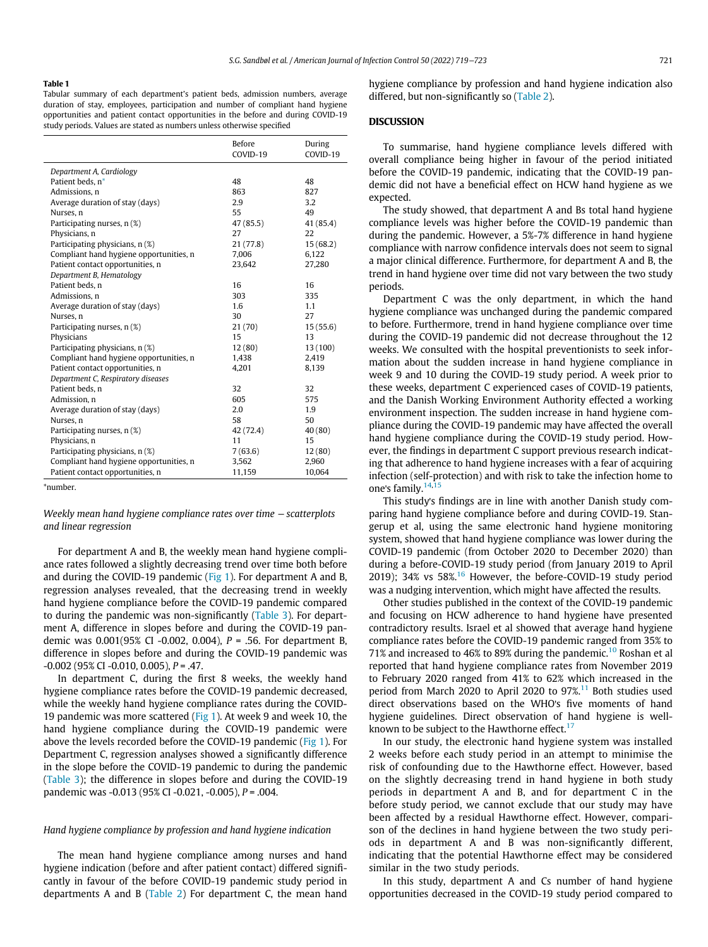#### <span id="page-2-0"></span>Table 1

Tabular summary of each department's patient beds, admission numbers, average duration of stay, employees, participation and number of compliant hand hygiene opportunities and patient contact opportunities in the before and during COVID-19 study periods. Values are stated as numbers unless otherwise specified

|                                         | Before<br>COVID-19 | During<br>COVID-19 |
|-----------------------------------------|--------------------|--------------------|
| Department A, Cardiology                |                    |                    |
| Patient beds. n*                        | 48                 | 48                 |
| Admissions, n                           | 863                | 827                |
| Average duration of stay (days)         | 2.9                | 3.2                |
| Nurses, n                               | 55                 | 49                 |
| Participating nurses, n (%)             | 47(85.5)           | 41 (85.4)          |
| Physicians, n                           | 27                 | 22                 |
| Participating physicians, n (%)         | 21(77.8)           | 15(68.2)           |
| Compliant hand hygiene opportunities, n | 7,006              | 6,122              |
| Patient contact opportunities, n        | 23,642             | 27,280             |
| Department B, Hematology                |                    |                    |
| Patient beds, n                         | 16                 | 16                 |
| Admissions, n                           | 303                | 335                |
| Average duration of stay (days)         | 1.6                | 1.1                |
| Nurses, n                               | 30                 | 27                 |
| Participating nurses, n (%)             | 21 (70)            | 15(55.6)           |
| Physicians                              | 15                 | 13                 |
| Participating physicians, n (%)         | 12(80)             | 13 (100)           |
| Compliant hand hygiene opportunities, n | 1.438              | 2.419              |
| Patient contact opportunities, n        | 4,201              | 8,139              |
| Department C, Respiratory diseases      |                    |                    |
| Patient beds, n                         | 32                 | 32                 |
| Admission, n                            | 605                | 575                |
| Average duration of stay (days)         | 2.0                | 1.9                |
| Nurses, n                               | 58                 | 50                 |
| Participating nurses, n (%)             | 42 (72.4)          | 40(80)             |
| Physicians, n                           | 11                 | 15                 |
| Participating physicians, n (%)         | 7(63.6)            | 12(80)             |
| Compliant hand hygiene opportunities, n | 3,562              | 2,960              |
| Patient contact opportunities, n        | 11,159             | 10,064             |

<span id="page-2-1"></span>\*number.

# Weekly mean hand hygiene compliance rates over time <sup>−</sup> scatterplots and linear regression

For department A and B, the weekly mean hand hygiene compliance rates followed a slightly decreasing trend over time both before and during the COVID-19 pandemic [\(Fig 1\)](#page-3-1). For department A and B, regression analyses revealed, that the decreasing trend in weekly hand hygiene compliance before the COVID-19 pandemic compared to during the pandemic was non-significantly ([Table 3\)](#page-4-9). For department A, difference in slopes before and during the COVID-19 pandemic was  $0.001(95\% \text{ CI} -0.002, 0.004)$ ,  $P = .56$ . For department B, difference in slopes before and during the COVID-19 pandemic was  $-0.002$  (95% CI  $-0.010$ , 0.005),  $P = .47$ .

In department C, during the first 8 weeks, the weekly hand hygiene compliance rates before the COVID-19 pandemic decreased, while the weekly hand hygiene compliance rates during the COVID-19 pandemic was more scattered ([Fig 1\)](#page-3-1). At week 9 and week 10, the hand hygiene compliance during the COVID-19 pandemic were above the levels recorded before the COVID-19 pandemic ([Fig 1](#page-3-1)). For Department C, regression analyses showed a significantly difference in the slope before the COVID-19 pandemic to during the pandemic ([Table 3\)](#page-4-9); the difference in slopes before and during the COVID-19 pandemic was  $-0.013$  (95% CI  $-0.021$ ,  $-0.005$ ),  $P = .004$ .

# Hand hygiene compliance by profession and hand hygiene indication

The mean hand hygiene compliance among nurses and hand hygiene indication (before and after patient contact) differed significantly in favour of the before COVID-19 pandemic study period in departments A and B [\(Table 2\)](#page-3-0) For department C, the mean hand hygiene compliance by profession and hand hygiene indication also differed, but non-significantly so ([Table 2\)](#page-3-0).

# DISCUSSION

To summarise, hand hygiene compliance levels differed with overall compliance being higher in favour of the period initiated before the COVID-19 pandemic, indicating that the COVID-19 pandemic did not have a beneficial effect on HCW hand hygiene as we expected.

The study showed, that department A and Bs total hand hygiene compliance levels was higher before the COVID-19 pandemic than during the pandemic. However, a 5%-7% difference in hand hygiene compliance with narrow confidence intervals does not seem to signal a major clinical difference. Furthermore, for department A and B, the trend in hand hygiene over time did not vary between the two study periods.

Department C was the only department, in which the hand hygiene compliance was unchanged during the pandemic compared to before. Furthermore, trend in hand hygiene compliance over time during the COVID-19 pandemic did not decrease throughout the 12 weeks. We consulted with the hospital preventionists to seek information about the sudden increase in hand hygiene compliance in week 9 and 10 during the COVID-19 study period. A week prior to these weeks, department C experienced cases of COVID-19 patients, and the Danish Working Environment Authority effected a working environment inspection. The sudden increase in hand hygiene compliance during the COVID-19 pandemic may have affected the overall hand hygiene compliance during the COVID-19 study period. However, the findings in department C support previous research indicating that adherence to hand hygiene increases with a fear of acquiring infection (self-protection) and with risk to take the infection home to one's family.<sup>[14,](#page-4-10)[15](#page-4-11)</sup>

This study's findings are in line with another Danish study comparing hand hygiene compliance before and during COVID-19. Stangerup et al, using the same electronic hand hygiene monitoring system, showed that hand hygiene compliance was lower during the COVID-19 pandemic (from October 2020 to December 2020) than during a before-COVID-19 study period (from January 2019 to April 2019); 34% vs  $58\%$ .<sup>[16](#page-4-12)</sup> However, the before-COVID-19 study period was a nudging intervention, which might have affected the results.

Other studies published in the context of the COVID-19 pandemic and focusing on HCW adherence to hand hygiene have presented contradictory results. Israel et al showed that average hand hygiene compliance rates before the COVID-19 pandemic ranged from 35% to 71% and increased to 46% to 89% during the pandemic.<sup>[10](#page-4-5)</sup> Roshan et al reported that hand hygiene compliance rates from November 2019 to February 2020 ranged from 41% to 62% which increased in the period from March 2020 to April 2020 to 97%.<sup>[11](#page-4-6)</sup> Both studies used direct observations based on the WHO's five moments of hand hygiene guidelines. Direct observation of hand hygiene is wellknown to be subject to the Hawthorne effect. $17$ 

In our study, the electronic hand hygiene system was installed 2 weeks before each study period in an attempt to minimise the risk of confounding due to the Hawthorne effect. However, based on the slightly decreasing trend in hand hygiene in both study periods in department A and B, and for department C in the before study period, we cannot exclude that our study may have been affected by a residual Hawthorne effect. However, comparison of the declines in hand hygiene between the two study periods in department A and B was non-significantly different, indicating that the potential Hawthorne effect may be considered similar in the two study periods.

In this study, department A and Cs number of hand hygiene opportunities decreased in the COVID-19 study period compared to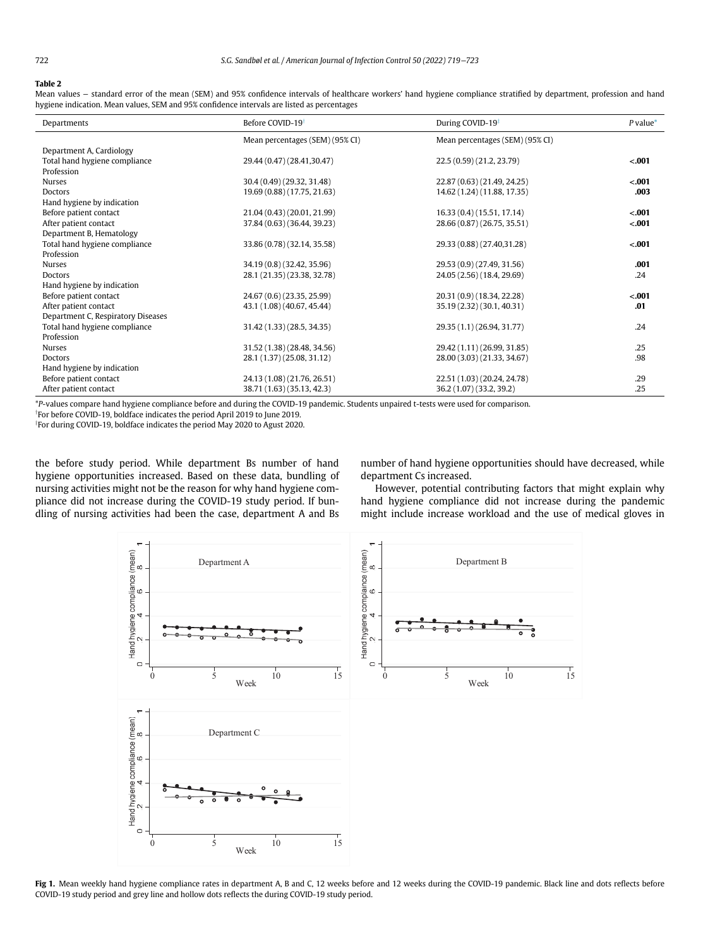#### <span id="page-3-0"></span>Table 2

Mean values – standard error of the mean (SEM) and 95% confidence intervals of healthcare workers' hand hygiene compliance stratified by department, profession and hand hygiene indication. Mean values, SEM and 95% confidence intervals are listed as percentages

| Departments                        | Before COVID-19 <sup>t</sup>    | During COVID-19 <sup>‡</sup>    | $P$ value* |
|------------------------------------|---------------------------------|---------------------------------|------------|
|                                    | Mean percentages (SEM) (95% CI) | Mean percentages (SEM) (95% CI) |            |
| Department A, Cardiology           |                                 |                                 |            |
| Total hand hygiene compliance      | 29.44 (0.47) (28.41,30.47)      | 22.5 (0.59) (21.2, 23.79)       | $-.001$    |
| Profession                         |                                 |                                 |            |
| <b>Nurses</b>                      | 30.4 (0.49) (29.32, 31.48)      | 22,87 (0.63) (21,49, 24,25)     | $-.001$    |
| <b>Doctors</b>                     | 19.69 (0.88) (17.75, 21.63)     | 14.62 (1.24) (11.88, 17.35)     | .003       |
| Hand hygiene by indication         |                                 |                                 |            |
| Before patient contact             | 21.04 (0.43) (20.01, 21.99)     | 16.33 (0.4) (15.51, 17.14)      | $-.001$    |
| After patient contact              | 37.84 (0.63) (36.44, 39.23)     | 28.66 (0.87) (26.75, 35.51)     | $-.001$    |
| Department B, Hematology           |                                 |                                 |            |
| Total hand hygiene compliance      | 33.86 (0.78) (32.14, 35.58)     | 29.33 (0.88) (27.40,31.28)      | $-.001$    |
| Profession                         |                                 |                                 |            |
| <b>Nurses</b>                      | 34.19 (0.8) (32.42, 35.96)      | 29.53 (0.9) (27.49, 31.56)      | .001       |
| <b>Doctors</b>                     | 28.1 (21.35) (23.38, 32.78)     | 24.05 (2.56) (18.4, 29.69)      | .24        |
| Hand hygiene by indication         |                                 |                                 |            |
| Before patient contact             | 24,67 (0.6) (23,35, 25,99)      | 20.31 (0.9) (18.34, 22.28)      | $-.001$    |
| After patient contact              | 43.1 (1.08) (40.67, 45.44)      | 35.19 (2.32) (30.1, 40.31)      | .01        |
| Department C, Respiratory Diseases |                                 |                                 |            |
| Total hand hygiene compliance      | 31.42 (1.33) (28.5, 34.35)      | 29.35 (1.1) (26.94, 31.77)      | .24        |
| Profession                         |                                 |                                 |            |
| <b>Nurses</b>                      | 31.52 (1.38) (28.48, 34.56)     | 29.42 (1.11) (26.99, 31.85)     | .25        |
| <b>Doctors</b>                     | 28.1 (1.37) (25.08, 31.12)      | 28.00 (3.03) (21.33, 34.67)     | .98        |
| Hand hygiene by indication         |                                 |                                 |            |
| Before patient contact             | 24.13 (1.08) (21.76, 26.51)     | 22.51 (1.03) (20.24, 24.78)     | .29        |
| After patient contact              | 38.71 (1.63) (35.13, 42.3)      | 36.2 (1.07) (33.2, 39.2)        | .25        |

<span id="page-3-2"></span>\*P-values compare hand hygiene compliance before and during the COVID-19 pandemic. Students unpaired t-tests were used for comparison.

<span id="page-3-3"></span>y For before COVID-19, boldface indicates the period April 2019 to June 2019. z For during COVID-19, boldface indicates the period May 2020 to Agust 2020.

<span id="page-3-1"></span>the before study period. While department Bs number of hand hygiene opportunities increased. Based on these data, bundling of nursing activities might not be the reason for why hand hygiene compliance did not increase during the COVID-19 study period. If bundling of nursing activities had been the case, department A and Bs number of hand hygiene opportunities should have decreased, while department Cs increased.

However, potential contributing factors that might explain why hand hygiene compliance did not increase during the pandemic might include increase workload and the use of medical gloves in



Fig 1. Mean weekly hand hygiene compliance rates in department A, B and C, 12 weeks before and 12 weeks during the COVID-19 pandemic. Black line and dots reflects before COVID-19 study period and grey line and hollow dots reflects the during COVID-19 study period.